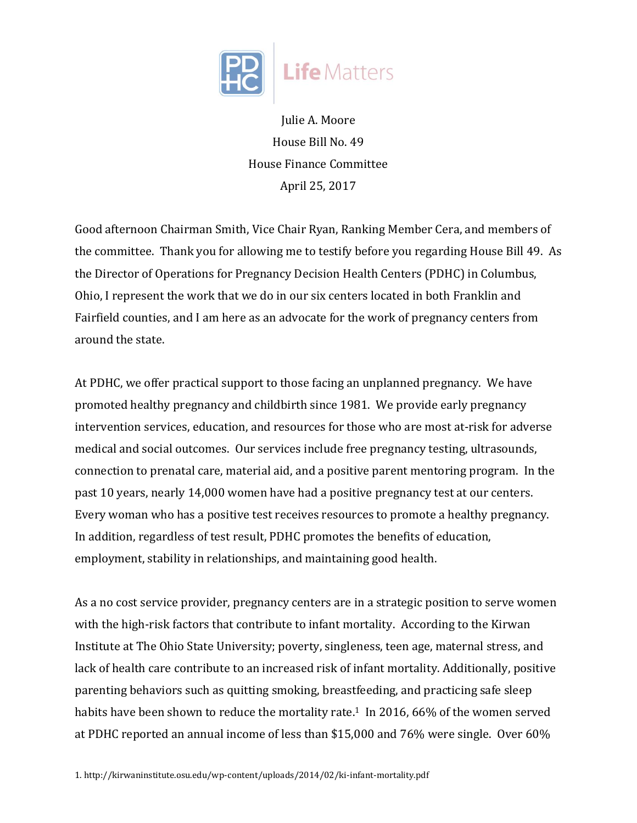

Julie A. Moore House Bill No. 49 House Finance Committee April 25, 2017

Good afternoon Chairman Smith, Vice Chair Ryan, Ranking Member Cera, and members of the committee. Thank you for allowing me to testify before you regarding House Bill 49. As the Director of Operations for Pregnancy Decision Health Centers (PDHC) in Columbus, Ohio, I represent the work that we do in our six centers located in both Franklin and Fairfield counties, and I am here as an advocate for the work of pregnancy centers from around the state.

At PDHC, we offer practical support to those facing an unplanned pregnancy. We have promoted healthy pregnancy and childbirth since 1981. We provide early pregnancy intervention services, education, and resources for those who are most at-risk for adverse medical and social outcomes. Our services include free pregnancy testing, ultrasounds, connection to prenatal care, material aid, and a positive parent mentoring program. In the past 10 years, nearly 14,000 women have had a positive pregnancy test at our centers. Every woman who has a positive test receives resources to promote a healthy pregnancy. In addition, regardless of test result, PDHC promotes the benefits of education, employment, stability in relationships, and maintaining good health.

As a no cost service provider, pregnancy centers are in a strategic position to serve women with the high-risk factors that contribute to infant mortality. According to the Kirwan Institute at The Ohio State University; poverty, singleness, teen age, maternal stress, and lack of health care contribute to an increased risk of infant mortality. Additionally, positive parenting behaviors such as quitting smoking, breastfeeding, and practicing safe sleep habits have been shown to reduce the mortality rate.<sup>1</sup> In 2016, 66% of the women served at PDHC reported an annual income of less than \$15,000 and 76% were single. Over 60%